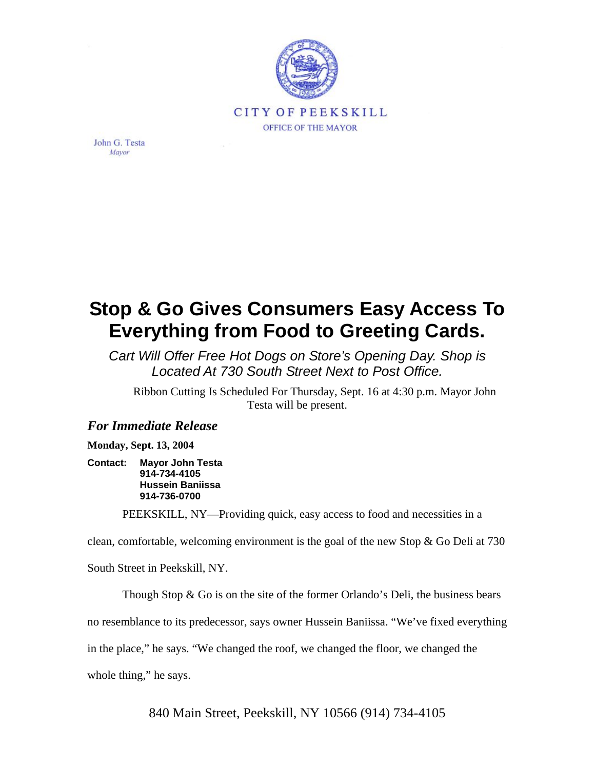

John G. Testa Mayor

## **Stop & Go Gives Consumers Easy Access To Everything from Food to Greeting Cards.**

*Cart Will Offer Free Hot Dogs on Store's Opening Day. Shop is Located At 730 South Street Next to Post Office.*

Ribbon Cutting Is Scheduled For Thursday, Sept. 16 at 4:30 p.m. Mayor John Testa will be present.

## *For Immediate Release*

**Monday, Sept. 13, 2004** 

**Contact: Mayor John Testa 914-734-4105 Hussein Baniissa 914-736-0700** 

PEEKSKILL, NY—Providing quick, easy access to food and necessities in a

clean, comfortable, welcoming environment is the goal of the new Stop & Go Deli at 730

South Street in Peekskill, NY.

Though Stop  $\&$  Go is on the site of the former Orlando's Deli, the business bears

no resemblance to its predecessor, says owner Hussein Baniissa. "We've fixed everything

in the place," he says. "We changed the roof, we changed the floor, we changed the

whole thing," he says.

840 Main Street, Peekskill, NY 10566 (914) 734-4105